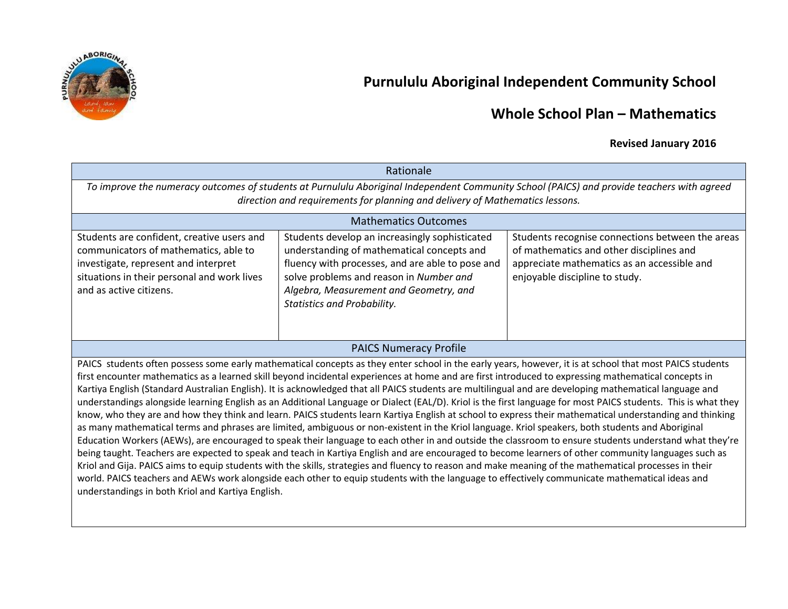

# **Purnululu Aboriginal Independent Community School**

### **Whole School Plan – Mathematics**

### **Revised January 2016**

| Rationale                                                                                                                                                                                                                                                                                                                                                                                                                                                                                                                                                                                                                                                                                                                                                                                                                                                                                                                                                                                                                                                                                                                                                                                                                                                                                                                                                                                                                                                                                                                                                                                                                                         |                                                                                                                                                                                                                                                                             |                                                                                                                                                                               |  |  |  |  |
|---------------------------------------------------------------------------------------------------------------------------------------------------------------------------------------------------------------------------------------------------------------------------------------------------------------------------------------------------------------------------------------------------------------------------------------------------------------------------------------------------------------------------------------------------------------------------------------------------------------------------------------------------------------------------------------------------------------------------------------------------------------------------------------------------------------------------------------------------------------------------------------------------------------------------------------------------------------------------------------------------------------------------------------------------------------------------------------------------------------------------------------------------------------------------------------------------------------------------------------------------------------------------------------------------------------------------------------------------------------------------------------------------------------------------------------------------------------------------------------------------------------------------------------------------------------------------------------------------------------------------------------------------|-----------------------------------------------------------------------------------------------------------------------------------------------------------------------------------------------------------------------------------------------------------------------------|-------------------------------------------------------------------------------------------------------------------------------------------------------------------------------|--|--|--|--|
| To improve the numeracy outcomes of students at Purnululu Aboriginal Independent Community School (PAICS) and provide teachers with agreed                                                                                                                                                                                                                                                                                                                                                                                                                                                                                                                                                                                                                                                                                                                                                                                                                                                                                                                                                                                                                                                                                                                                                                                                                                                                                                                                                                                                                                                                                                        |                                                                                                                                                                                                                                                                             |                                                                                                                                                                               |  |  |  |  |
| direction and requirements for planning and delivery of Mathematics lessons.                                                                                                                                                                                                                                                                                                                                                                                                                                                                                                                                                                                                                                                                                                                                                                                                                                                                                                                                                                                                                                                                                                                                                                                                                                                                                                                                                                                                                                                                                                                                                                      |                                                                                                                                                                                                                                                                             |                                                                                                                                                                               |  |  |  |  |
| <b>Mathematics Outcomes</b>                                                                                                                                                                                                                                                                                                                                                                                                                                                                                                                                                                                                                                                                                                                                                                                                                                                                                                                                                                                                                                                                                                                                                                                                                                                                                                                                                                                                                                                                                                                                                                                                                       |                                                                                                                                                                                                                                                                             |                                                                                                                                                                               |  |  |  |  |
| Students are confident, creative users and<br>communicators of mathematics, able to<br>investigate, represent and interpret<br>situations in their personal and work lives<br>and as active citizens.                                                                                                                                                                                                                                                                                                                                                                                                                                                                                                                                                                                                                                                                                                                                                                                                                                                                                                                                                                                                                                                                                                                                                                                                                                                                                                                                                                                                                                             | Students develop an increasingly sophisticated<br>understanding of mathematical concepts and<br>fluency with processes, and are able to pose and<br>solve problems and reason in Number and<br>Algebra, Measurement and Geometry, and<br><b>Statistics and Probability.</b> | Students recognise connections between the areas<br>of mathematics and other disciplines and<br>appreciate mathematics as an accessible and<br>enjoyable discipline to study. |  |  |  |  |
|                                                                                                                                                                                                                                                                                                                                                                                                                                                                                                                                                                                                                                                                                                                                                                                                                                                                                                                                                                                                                                                                                                                                                                                                                                                                                                                                                                                                                                                                                                                                                                                                                                                   | <b>PAICS Numeracy Profile</b>                                                                                                                                                                                                                                               |                                                                                                                                                                               |  |  |  |  |
| PAICS students often possess some early mathematical concepts as they enter school in the early years, however, it is at school that most PAICS students<br>first encounter mathematics as a learned skill beyond incidental experiences at home and are first introduced to expressing mathematical concepts in<br>Kartiya English (Standard Australian English). It is acknowledged that all PAICS students are multilingual and are developing mathematical language and<br>understandings alongside learning English as an Additional Language or Dialect (EAL/D). Kriol is the first language for most PAICS students. This is what they<br>know, who they are and how they think and learn. PAICS students learn Kartiya English at school to express their mathematical understanding and thinking<br>as many mathematical terms and phrases are limited, ambiguous or non-existent in the Kriol language. Kriol speakers, both students and Aboriginal<br>Education Workers (AEWs), are encouraged to speak their language to each other in and outside the classroom to ensure students understand what they're<br>being taught. Teachers are expected to speak and teach in Kartiya English and are encouraged to become learners of other community languages such as<br>Kriol and Gija. PAICS aims to equip students with the skills, strategies and fluency to reason and make meaning of the mathematical processes in their<br>world. PAICS teachers and AEWs work alongside each other to equip students with the language to effectively communicate mathematical ideas and<br>understandings in both Kriol and Kartiya English. |                                                                                                                                                                                                                                                                             |                                                                                                                                                                               |  |  |  |  |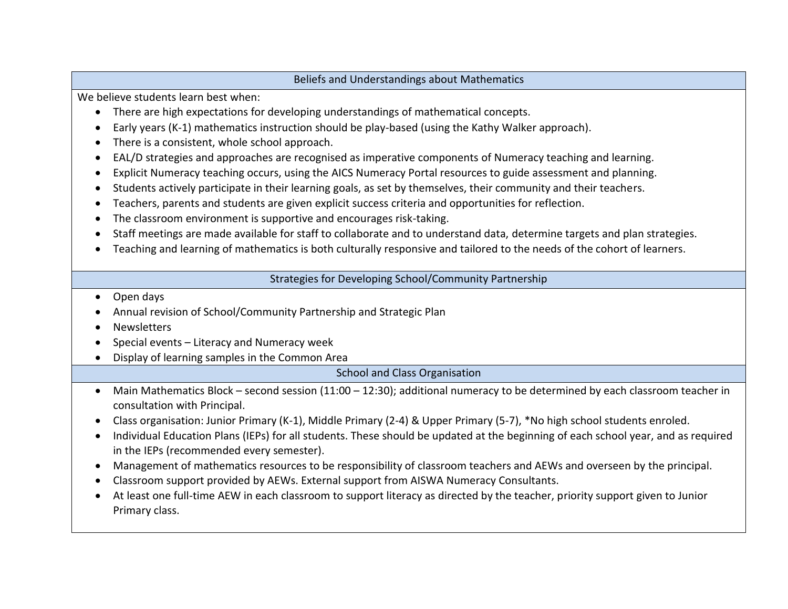#### Beliefs and Understandings about Mathematics

We believe students learn best when:

- There are high expectations for developing understandings of mathematical concepts.
- Early years (K-1) mathematics instruction should be play-based (using the Kathy Walker approach).
- There is a consistent, whole school approach.
- EAL/D strategies and approaches are recognised as imperative components of Numeracy teaching and learning.
- Explicit Numeracy teaching occurs, using the AICS Numeracy Portal resources to guide assessment and planning.
- Students actively participate in their learning goals, as set by themselves, their community and their teachers.
- Teachers, parents and students are given explicit success criteria and opportunities for reflection.
- The classroom environment is supportive and encourages risk-taking.
- Staff meetings are made available for staff to collaborate and to understand data, determine targets and plan strategies.
- Teaching and learning of mathematics is both culturally responsive and tailored to the needs of the cohort of learners.

#### Strategies for Developing School/Community Partnership

- Open days
- Annual revision of School/Community Partnership and Strategic Plan
- **Newsletters**
- $\bullet$  Special events Literacy and Numeracy week
- Display of learning samples in the Common Area

School and Class Organisation

- Main Mathematics Block second session (11:00 12:30); additional numeracy to be determined by each classroom teacher in consultation with Principal.
- Class organisation: Junior Primary (K-1), Middle Primary (2-4) & Upper Primary (5-7), \*No high school students enroled.
- Individual Education Plans (IEPs) for all students. These should be updated at the beginning of each school year, and as required in the IEPs (recommended every semester).
- Management of mathematics resources to be responsibility of classroom teachers and AEWs and overseen by the principal.
- Classroom support provided by AEWs. External support from AISWA Numeracy Consultants.
- At least one full-time AEW in each classroom to support literacy as directed by the teacher, priority support given to Junior Primary class.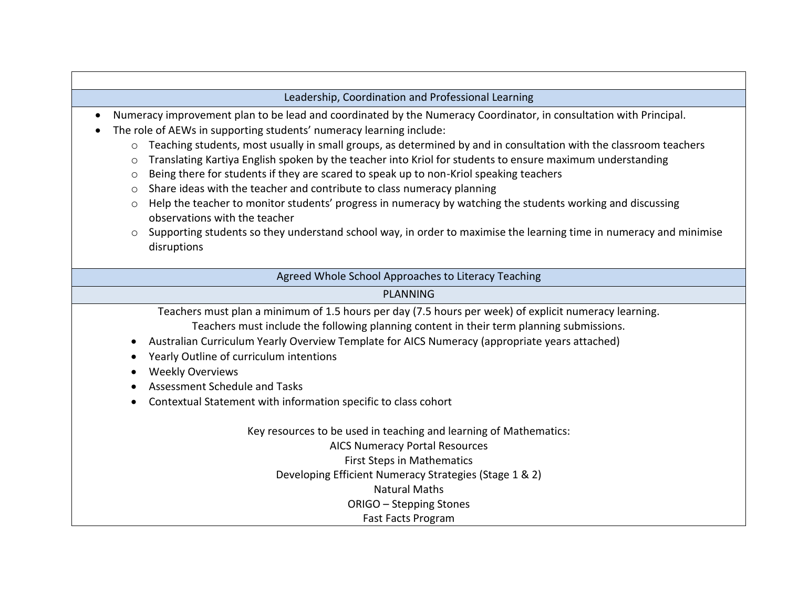#### Leadership, Coordination and Professional Learning

- Numeracy improvement plan to be lead and coordinated by the Numeracy Coordinator, in consultation with Principal.
- The role of AEWs in supporting students' numeracy learning include:
	- $\circ$  Teaching students, most usually in small groups, as determined by and in consultation with the classroom teachers
	- o Translating Kartiya English spoken by the teacher into Kriol for students to ensure maximum understanding
	- $\circ$  Being there for students if they are scared to speak up to non-Kriol speaking teachers
	- o Share ideas with the teacher and contribute to class numeracy planning
	- $\circ$  Help the teacher to monitor students' progress in numeracy by watching the students working and discussing observations with the teacher
	- $\circ$  Supporting students so they understand school way, in order to maximise the learning time in numeracy and minimise disruptions

Agreed Whole School Approaches to Literacy Teaching

#### PLANNING

Teachers must plan a minimum of 1.5 hours per day (7.5 hours per week) of explicit numeracy learning. Teachers must include the following planning content in their term planning submissions.

- Australian Curriculum Yearly Overview Template for AICS Numeracy (appropriate years attached)
- Yearly Outline of curriculum intentions
- Weekly Overviews
- Assessment Schedule and Tasks
- Contextual Statement with information specific to class cohort

Key resources to be used in teaching and learning of Mathematics:

AICS Numeracy Portal Resources First Steps in Mathematics

Developing Efficient Numeracy Strategies (Stage 1 & 2)

Natural Maths

ORIGO – Stepping Stones

Fast Facts Program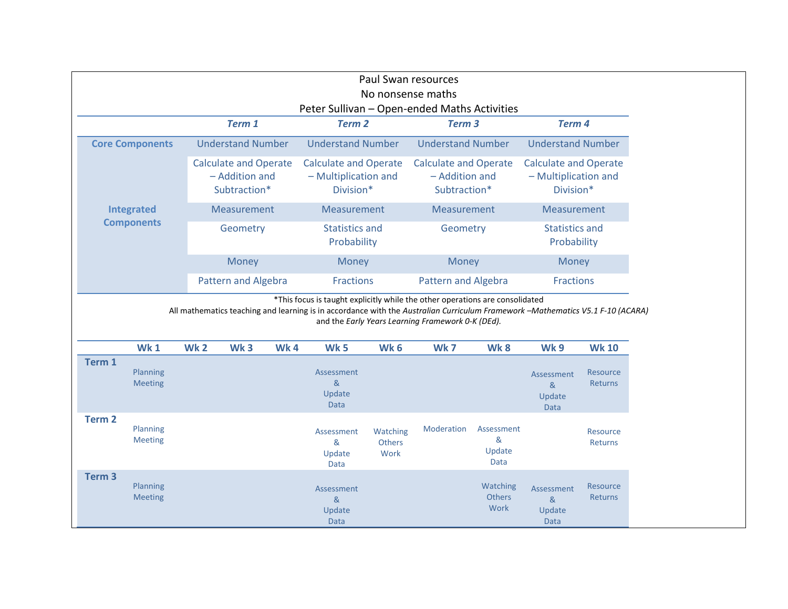| Paul Swan resources<br>No nonsense maths                                                                                                                                                                                                                                                                                                                                                                   |                                                    |                            |                                                                |                          |                                                                                                                                     |                            |             |                                                                   |                                                       |                            |
|------------------------------------------------------------------------------------------------------------------------------------------------------------------------------------------------------------------------------------------------------------------------------------------------------------------------------------------------------------------------------------------------------------|----------------------------------------------------|----------------------------|----------------------------------------------------------------|--------------------------|-------------------------------------------------------------------------------------------------------------------------------------|----------------------------|-------------|-------------------------------------------------------------------|-------------------------------------------------------|----------------------------|
| Peter Sullivan - Open-ended Maths Activities                                                                                                                                                                                                                                                                                                                                                               |                                                    |                            |                                                                |                          |                                                                                                                                     |                            |             |                                                                   |                                                       |                            |
| Term <sub>3</sub><br>Term 4<br>Term 1<br><b>Term 2</b>                                                                                                                                                                                                                                                                                                                                                     |                                                    |                            |                                                                |                          |                                                                                                                                     |                            |             |                                                                   |                                                       |                            |
|                                                                                                                                                                                                                                                                                                                                                                                                            | <b>Understand Number</b><br><b>Core Components</b> |                            |                                                                | <b>Understand Number</b> |                                                                                                                                     | <b>Understand Number</b>   |             | <b>Understand Number</b>                                          |                                                       |                            |
| Integrated<br><b>Components</b>                                                                                                                                                                                                                                                                                                                                                                            |                                                    |                            | <b>Calculate and Operate</b><br>- Addition and<br>Subtraction* |                          | <b>Calculate and Operate</b><br><b>Calculate and Operate</b><br>- Addition and<br>- Multiplication and<br>Division*<br>Subtraction* |                            |             | <b>Calculate and Operate</b><br>- Multiplication and<br>Division* |                                                       |                            |
|                                                                                                                                                                                                                                                                                                                                                                                                            |                                                    |                            | Measurement                                                    |                          | Measurement                                                                                                                         |                            | Measurement |                                                                   | Measurement                                           |                            |
|                                                                                                                                                                                                                                                                                                                                                                                                            |                                                    |                            | Geometry                                                       |                          | <b>Statistics and</b><br>Probability                                                                                                |                            | Geometry    |                                                                   | <b>Statistics and</b><br>Probability                  |                            |
|                                                                                                                                                                                                                                                                                                                                                                                                            |                                                    |                            | Money                                                          |                          | Money                                                                                                                               |                            | Money       |                                                                   | Money                                                 |                            |
|                                                                                                                                                                                                                                                                                                                                                                                                            |                                                    | <b>Pattern and Algebra</b> |                                                                | <b>Fractions</b>         |                                                                                                                                     | <b>Pattern and Algebra</b> |             | Fractions                                                         |                                                       |                            |
| *This focus is taught explicitly while the other operations are consolidated<br>All mathematics teaching and learning is in accordance with the Australian Curriculum Framework -Mathematics V5.1 F-10 (ACARA)<br>and the Early Years Learning Framework 0-K (DEd).<br><b>Wk1</b><br>Wk <sub>2</sub><br>Wk <sub>3</sub><br>Wk4<br>Wk <sub>5</sub><br>Wk <sub>6</sub><br>Wk7<br>Wk8<br><b>Wk 10</b><br>Wk 9 |                                                    |                            |                                                                |                          |                                                                                                                                     |                            |             |                                                                   |                                                       |                            |
| Term 1                                                                                                                                                                                                                                                                                                                                                                                                     |                                                    |                            |                                                                |                          |                                                                                                                                     |                            |             |                                                                   |                                                       |                            |
|                                                                                                                                                                                                                                                                                                                                                                                                            | Planning<br><b>Meeting</b>                         |                            |                                                                |                          | Assessment<br>8 <sub>k</sub><br>Update<br>Data                                                                                      |                            |             |                                                                   | Assessment<br>8 <sub>k</sub><br>Update<br>Data        | Resource<br><b>Returns</b> |
| <b>Term 2</b>                                                                                                                                                                                                                                                                                                                                                                                              | Planning<br><b>Meeting</b>                         |                            |                                                                |                          | Assessment<br>&<br>Update<br>Data                                                                                                   | Watching<br>Others<br>Work | Moderation  | <b>Assessment</b><br>&<br>Update<br>Data                          |                                                       | Resource<br>Returns        |
| Term <sub>3</sub>                                                                                                                                                                                                                                                                                                                                                                                          | Planning<br><b>Meeting</b>                         |                            |                                                                |                          | Assessment<br>8 <sub>k</sub><br>Update<br>Data                                                                                      |                            |             | Watching<br><b>Others</b><br>Work                                 | Assessment<br>8 <sub>k</sub><br>Update<br><b>Data</b> | Resource<br><b>Returns</b> |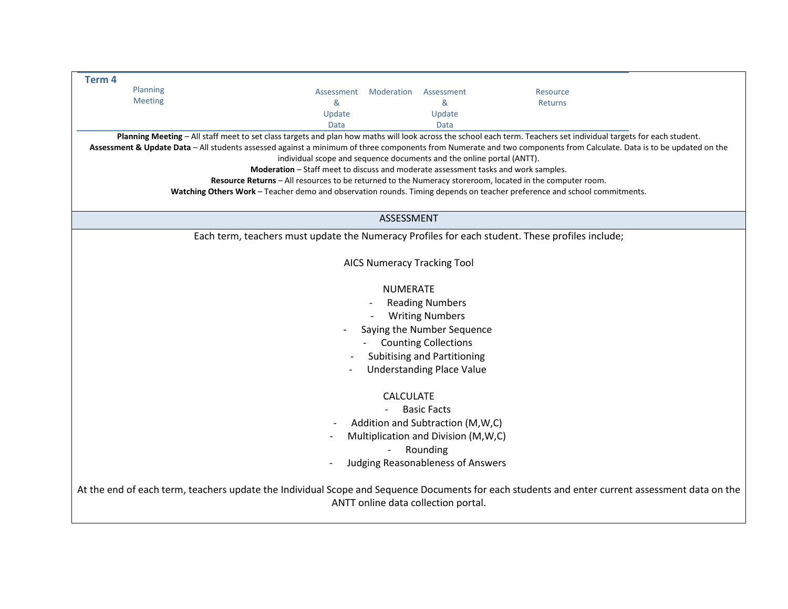| Term <sub>4</sub>                     |                                                                                                                                                                                                                                               |                                    |                                                                                                                                                                    |  |  |  |  |  |
|---------------------------------------|-----------------------------------------------------------------------------------------------------------------------------------------------------------------------------------------------------------------------------------------------|------------------------------------|--------------------------------------------------------------------------------------------------------------------------------------------------------------------|--|--|--|--|--|
| Planning                              |                                                                                                                                                                                                                                               |                                    |                                                                                                                                                                    |  |  |  |  |  |
| <b>Meeting</b>                        | Moderation<br>Assessment<br>&                                                                                                                                                                                                                 | Assessment<br>&                    | Resource                                                                                                                                                           |  |  |  |  |  |
|                                       | Update                                                                                                                                                                                                                                        | Update                             | Returns                                                                                                                                                            |  |  |  |  |  |
|                                       | Data                                                                                                                                                                                                                                          | Data                               |                                                                                                                                                                    |  |  |  |  |  |
|                                       |                                                                                                                                                                                                                                               |                                    | Planning Meeting - All staff meet to set class targets and plan how maths will look across the school each term. Teachers set individual targets for each student. |  |  |  |  |  |
|                                       |                                                                                                                                                                                                                                               |                                    |                                                                                                                                                                    |  |  |  |  |  |
|                                       | Assessment & Update Data - All students assessed against a minimum of three components from Numerate and two components from Calculate. Data is to be updated on the<br>individual scope and sequence documents and the online portal (ANTT). |                                    |                                                                                                                                                                    |  |  |  |  |  |
|                                       | Moderation - Staff meet to discuss and moderate assessment tasks and work samples.                                                                                                                                                            |                                    |                                                                                                                                                                    |  |  |  |  |  |
|                                       | Resource Returns - All resources to be returned to the Numeracy storeroom, located in the computer room.                                                                                                                                      |                                    |                                                                                                                                                                    |  |  |  |  |  |
|                                       |                                                                                                                                                                                                                                               |                                    | Watching Others Work - Teacher demo and observation rounds. Timing depends on teacher preference and school commitments.                                           |  |  |  |  |  |
|                                       |                                                                                                                                                                                                                                               |                                    |                                                                                                                                                                    |  |  |  |  |  |
|                                       |                                                                                                                                                                                                                                               | ASSESSMENT                         |                                                                                                                                                                    |  |  |  |  |  |
|                                       |                                                                                                                                                                                                                                               |                                    |                                                                                                                                                                    |  |  |  |  |  |
|                                       | Each term, teachers must update the Numeracy Profiles for each student. These profiles include;                                                                                                                                               |                                    |                                                                                                                                                                    |  |  |  |  |  |
|                                       |                                                                                                                                                                                                                                               |                                    |                                                                                                                                                                    |  |  |  |  |  |
|                                       |                                                                                                                                                                                                                                               | <b>AICS Numeracy Tracking Tool</b> |                                                                                                                                                                    |  |  |  |  |  |
|                                       |                                                                                                                                                                                                                                               |                                    |                                                                                                                                                                    |  |  |  |  |  |
|                                       |                                                                                                                                                                                                                                               | <b>NUMERATE</b>                    |                                                                                                                                                                    |  |  |  |  |  |
|                                       |                                                                                                                                                                                                                                               |                                    |                                                                                                                                                                    |  |  |  |  |  |
|                                       |                                                                                                                                                                                                                                               | <b>Reading Numbers</b>             |                                                                                                                                                                    |  |  |  |  |  |
|                                       |                                                                                                                                                                                                                                               | <b>Writing Numbers</b>             |                                                                                                                                                                    |  |  |  |  |  |
|                                       |                                                                                                                                                                                                                                               | Saying the Number Sequence         |                                                                                                                                                                    |  |  |  |  |  |
| <b>Counting Collections</b>           |                                                                                                                                                                                                                                               |                                    |                                                                                                                                                                    |  |  |  |  |  |
| <b>Subitising and Partitioning</b>    |                                                                                                                                                                                                                                               |                                    |                                                                                                                                                                    |  |  |  |  |  |
| <b>Understanding Place Value</b>      |                                                                                                                                                                                                                                               |                                    |                                                                                                                                                                    |  |  |  |  |  |
|                                       |                                                                                                                                                                                                                                               |                                    |                                                                                                                                                                    |  |  |  |  |  |
|                                       |                                                                                                                                                                                                                                               |                                    |                                                                                                                                                                    |  |  |  |  |  |
| <b>CALCULATE</b>                      |                                                                                                                                                                                                                                               |                                    |                                                                                                                                                                    |  |  |  |  |  |
| <b>Basic Facts</b>                    |                                                                                                                                                                                                                                               |                                    |                                                                                                                                                                    |  |  |  |  |  |
| Addition and Subtraction (M, W, C)    |                                                                                                                                                                                                                                               |                                    |                                                                                                                                                                    |  |  |  |  |  |
| Multiplication and Division (M, W, C) |                                                                                                                                                                                                                                               |                                    |                                                                                                                                                                    |  |  |  |  |  |
| Rounding                              |                                                                                                                                                                                                                                               |                                    |                                                                                                                                                                    |  |  |  |  |  |
|                                       |                                                                                                                                                                                                                                               | Judging Reasonableness of Answers  |                                                                                                                                                                    |  |  |  |  |  |
|                                       |                                                                                                                                                                                                                                               |                                    |                                                                                                                                                                    |  |  |  |  |  |
|                                       | At the end of each term, teachers update the Individual Scope and Sequence Documents for each students and enter current assessment data on the                                                                                               |                                    |                                                                                                                                                                    |  |  |  |  |  |
| ANTT online data collection portal.   |                                                                                                                                                                                                                                               |                                    |                                                                                                                                                                    |  |  |  |  |  |
|                                       |                                                                                                                                                                                                                                               |                                    |                                                                                                                                                                    |  |  |  |  |  |
|                                       |                                                                                                                                                                                                                                               |                                    |                                                                                                                                                                    |  |  |  |  |  |